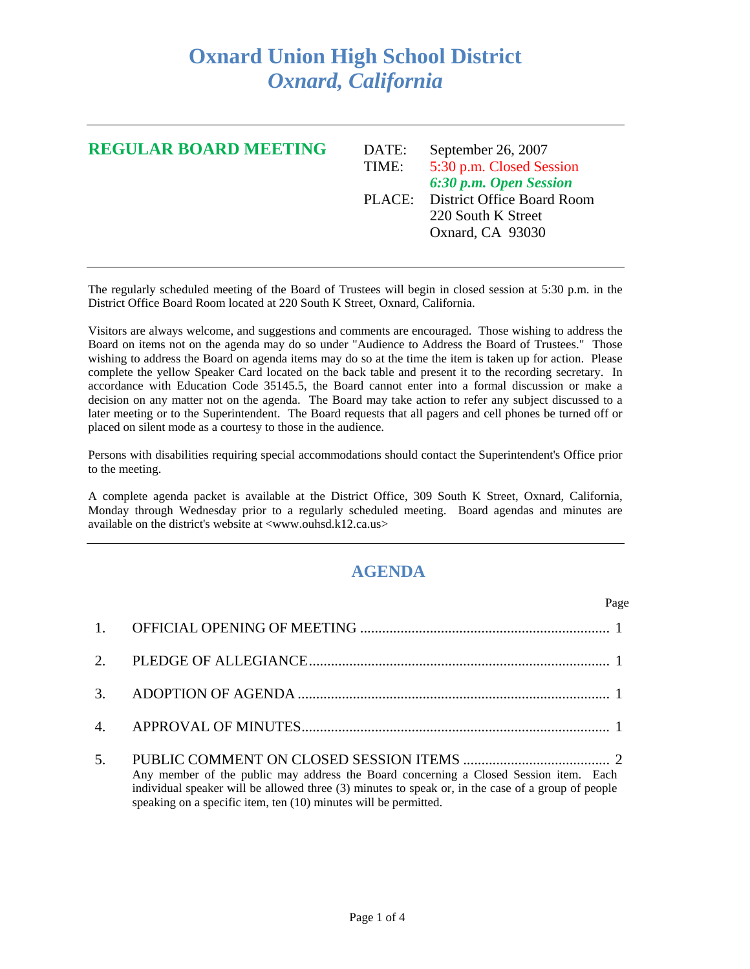## **Oxnard Union High School District**  *Oxnard, California*

| <b>REGULAR BOARD MEETING</b> | DATE:<br>TIME: | September 26, 2007<br>5:30 p.m. Closed Session<br>6:30 p.m. Open Session    |
|------------------------------|----------------|-----------------------------------------------------------------------------|
|                              |                | PLACE: District Office Board Room<br>220 South K Street<br>Oxnard, CA 93030 |

The regularly scheduled meeting of the Board of Trustees will begin in closed session at 5:30 p.m. in the District Office Board Room located at 220 South K Street, Oxnard, California.

Visitors are always welcome, and suggestions and comments are encouraged. Those wishing to address the Board on items not on the agenda may do so under "Audience to Address the Board of Trustees." Those wishing to address the Board on agenda items may do so at the time the item is taken up for action. Please complete the yellow Speaker Card located on the back table and present it to the recording secretary. In accordance with Education Code 35145.5, the Board cannot enter into a formal discussion or make a decision on any matter not on the agenda. The Board may take action to refer any subject discussed to a later meeting or to the Superintendent. The Board requests that all pagers and cell phones be turned off or placed on silent mode as a courtesy to those in the audience.

Persons with disabilities requiring special accommodations should contact the Superintendent's Office prior to the meeting.

A complete agenda packet is available at the District Office, 309 South K Street, Oxnard, California, Monday through Wednesday prior to a regularly scheduled meeting. Board agendas and minutes are available on the district's website at <www.ouhsd.k12.ca.us>

## **AGENDA**

| Page                                                                                                                                                                                                                                                            |
|-----------------------------------------------------------------------------------------------------------------------------------------------------------------------------------------------------------------------------------------------------------------|
|                                                                                                                                                                                                                                                                 |
|                                                                                                                                                                                                                                                                 |
|                                                                                                                                                                                                                                                                 |
|                                                                                                                                                                                                                                                                 |
| Any member of the public may address the Board concerning a Closed Session item. Each<br>individual speaker will be allowed three (3) minutes to speak or, in the case of a group of people<br>speaking on a specific item, ten (10) minutes will be permitted. |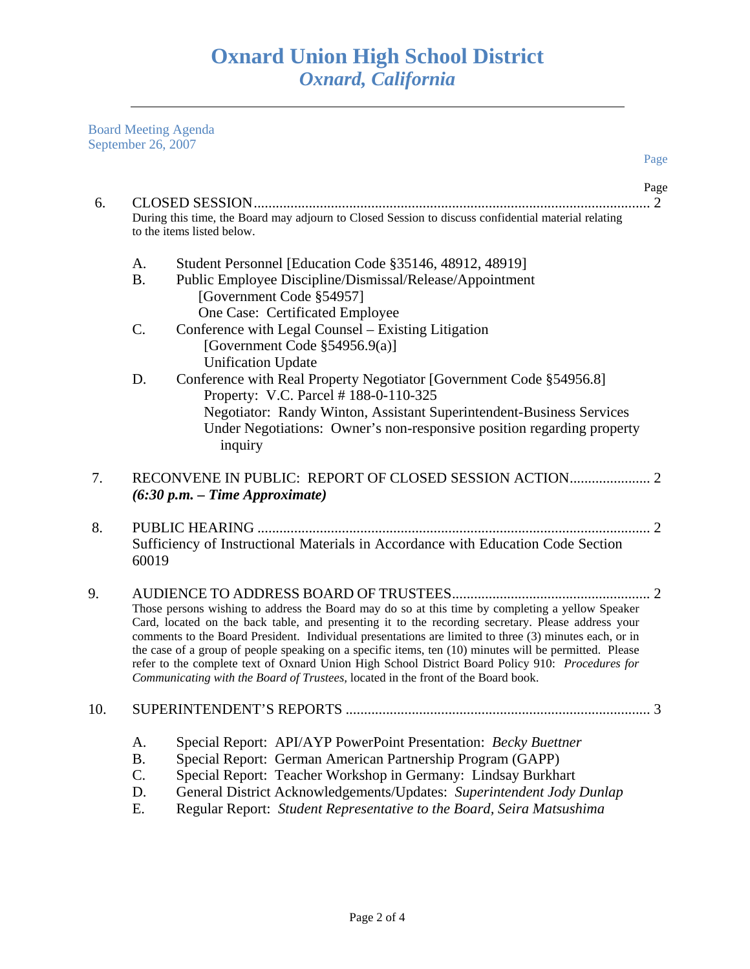Board Meeting Agenda September 26, 2007

|     | September 26, 2007                                                                                                                                                                                                                                                                                                                                                                                                                                                                                                                                                                                                  |                                                                                                                                                                                                                                                                                                                                                  | Page                        |
|-----|---------------------------------------------------------------------------------------------------------------------------------------------------------------------------------------------------------------------------------------------------------------------------------------------------------------------------------------------------------------------------------------------------------------------------------------------------------------------------------------------------------------------------------------------------------------------------------------------------------------------|--------------------------------------------------------------------------------------------------------------------------------------------------------------------------------------------------------------------------------------------------------------------------------------------------------------------------------------------------|-----------------------------|
|     |                                                                                                                                                                                                                                                                                                                                                                                                                                                                                                                                                                                                                     |                                                                                                                                                                                                                                                                                                                                                  | Page                        |
| 6.  |                                                                                                                                                                                                                                                                                                                                                                                                                                                                                                                                                                                                                     | During this time, the Board may adjourn to Closed Session to discuss confidential material relating<br>to the items listed below.                                                                                                                                                                                                                | $\overline{2}$              |
|     | A.<br><b>B.</b>                                                                                                                                                                                                                                                                                                                                                                                                                                                                                                                                                                                                     | Student Personnel [Education Code §35146, 48912, 48919]<br>Public Employee Discipline/Dismissal/Release/Appointment<br>[Government Code §54957]                                                                                                                                                                                                  |                             |
|     | $\mathbf{C}$ .                                                                                                                                                                                                                                                                                                                                                                                                                                                                                                                                                                                                      | One Case: Certificated Employee<br>Conference with Legal Counsel – Existing Litigation<br>[Government Code $\S$ 54956.9(a)]<br><b>Unification Update</b>                                                                                                                                                                                         |                             |
|     | D.                                                                                                                                                                                                                                                                                                                                                                                                                                                                                                                                                                                                                  | Conference with Real Property Negotiator [Government Code §54956.8]<br>Property: V.C. Parcel #188-0-110-325<br>Negotiator: Randy Winton, Assistant Superintendent-Business Services<br>Under Negotiations: Owner's non-responsive position regarding property<br>inquiry                                                                         |                             |
| 7.  |                                                                                                                                                                                                                                                                                                                                                                                                                                                                                                                                                                                                                     | $(6:30 p.m. - Time Approximate)$                                                                                                                                                                                                                                                                                                                 |                             |
| 8.  | 60019                                                                                                                                                                                                                                                                                                                                                                                                                                                                                                                                                                                                               | Sufficiency of Instructional Materials in Accordance with Education Code Section                                                                                                                                                                                                                                                                 | $\mathcal{D}_{\mathcal{L}}$ |
| 9.  | Those persons wishing to address the Board may do so at this time by completing a yellow Speaker<br>Card, located on the back table, and presenting it to the recording secretary. Please address your<br>comments to the Board President. Individual presentations are limited to three (3) minutes each, or in<br>the case of a group of people speaking on a specific items, ten (10) minutes will be permitted. Please<br>refer to the complete text of Oxnard Union High School District Board Policy 910: Procedures for<br>Communicating with the Board of Trustees, located in the front of the Board book. |                                                                                                                                                                                                                                                                                                                                                  |                             |
| 10. |                                                                                                                                                                                                                                                                                                                                                                                                                                                                                                                                                                                                                     |                                                                                                                                                                                                                                                                                                                                                  |                             |
|     | A.<br><b>B.</b><br>C.<br>D.<br>Ε.                                                                                                                                                                                                                                                                                                                                                                                                                                                                                                                                                                                   | Special Report: API/AYP PowerPoint Presentation: Becky Buettner<br>Special Report: German American Partnership Program (GAPP)<br>Special Report: Teacher Workshop in Germany: Lindsay Burkhart<br>General District Acknowledgements/Updates: Superintendent Jody Dunlap<br>Regular Report: Student Representative to the Board, Seira Matsushima |                             |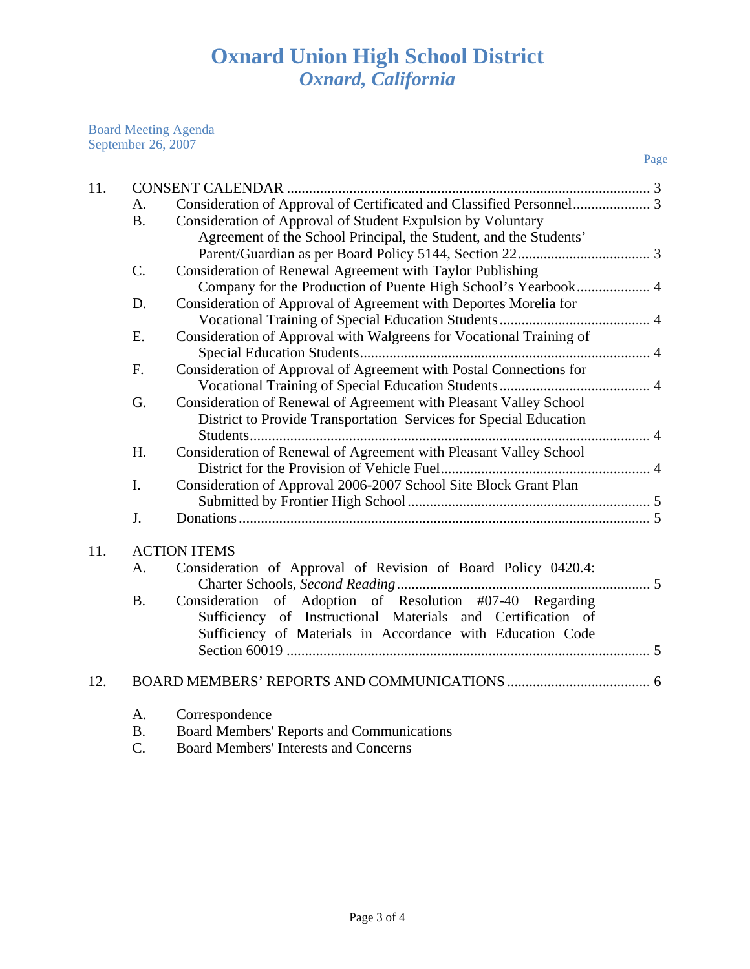Board Meeting Agenda September 26, 2007

| 11. |             |                                                                     |  |
|-----|-------------|---------------------------------------------------------------------|--|
|     | A.          |                                                                     |  |
|     | <b>B.</b>   | Consideration of Approval of Student Expulsion by Voluntary         |  |
|     |             | Agreement of the School Principal, the Student, and the Students'   |  |
|     |             |                                                                     |  |
|     | $C$ .       | Consideration of Renewal Agreement with Taylor Publishing           |  |
|     |             |                                                                     |  |
|     | D.          | Consideration of Approval of Agreement with Deportes Morelia for    |  |
|     |             |                                                                     |  |
|     | E.          | Consideration of Approval with Walgreens for Vocational Training of |  |
|     |             |                                                                     |  |
|     | F.          | Consideration of Approval of Agreement with Postal Connections for  |  |
|     |             |                                                                     |  |
|     | G.          | Consideration of Renewal of Agreement with Pleasant Valley School   |  |
|     |             | District to Provide Transportation Services for Special Education   |  |
|     |             |                                                                     |  |
|     | H.          | Consideration of Renewal of Agreement with Pleasant Valley School   |  |
|     |             |                                                                     |  |
|     | I.          | Consideration of Approval 2006-2007 School Site Block Grant Plan    |  |
|     |             |                                                                     |  |
|     | J.          |                                                                     |  |
|     |             |                                                                     |  |
| 11. |             | <b>ACTION ITEMS</b>                                                 |  |
|     | $A_{\cdot}$ | Consideration of Approval of Revision of Board Policy 0420.4:       |  |
|     |             |                                                                     |  |
|     | <b>B.</b>   | Consideration of Adoption of Resolution #07-40 Regarding            |  |
|     |             | Sufficiency of Instructional Materials and Certification of         |  |
|     |             | Sufficiency of Materials in Accordance with Education Code          |  |
|     |             |                                                                     |  |
| 12. |             |                                                                     |  |
|     |             |                                                                     |  |
|     | A.          | Correspondence                                                      |  |
|     | <b>B.</b>   | <b>Board Members' Reports and Communications</b>                    |  |

C. Board Members' Interests and Concerns